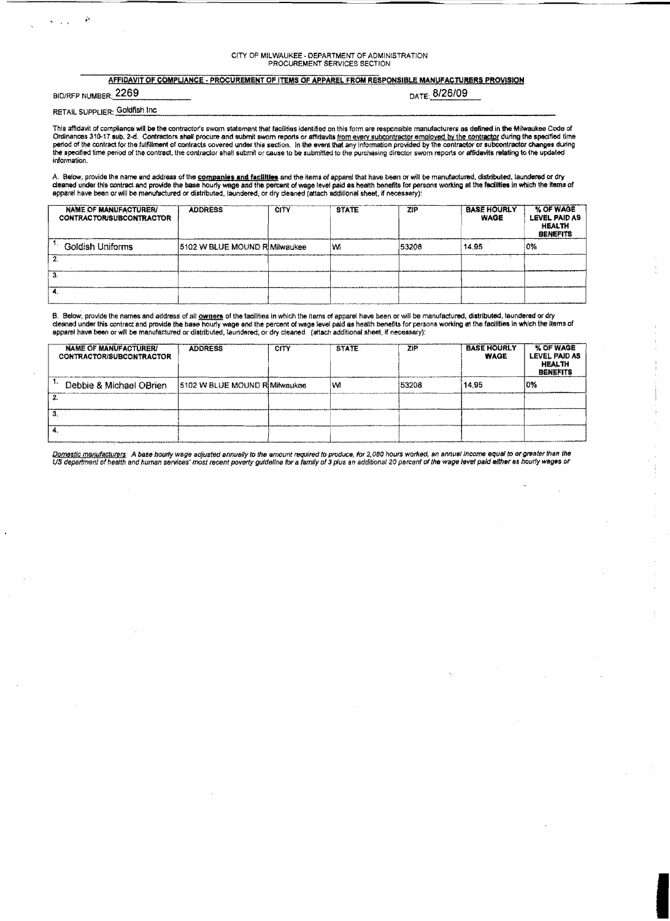## CITY OF MILWAUKEE - DEPARTMENT OF ADMINISTRATION PROCUREMENT SERVICES SECTION

## AFFIDAVIT OF COMPLIANCE - PROCUREMENT OF ITEMS OF APPAREL FROM RESPONSIBLE MANUFACTURERS PROVISION

| BID/RFP NUMBER: 2269           |  |
|--------------------------------|--|
| RETAIL SUPPLIER: Goldfish Inc. |  |

 $\tilde{\psi}$ 

DATE: 8/26/09

This affidavit of compliance will be the contractor's swom statement that facilities identified on this form are responsible manufacturers as defined in the Milwaukee Code of Ordinances 310-17 sub. 2-d. Contractors shall procure and submit sworn reports or affidavits from every subcontractor employed by the contractor during the specified time<br>period of the contract for the fulfillment of contr information.

A. Below, provide the name and address of the <u>companies and facilities</u> and the items of apparet that have been or will be manufactured, distributed, laundered or dry<br>deaned under this contract and provide the base hourly

| NAME OF MANUFACTURER/<br><b>CONTRACTOR/SUBCONTRACTOR</b> | <b>ADDRESS</b>                | <b>CITY</b> | <b>STATE</b> | ZIP   | <b>BASE HOURLY</b><br><b>WAGE</b> | % OF WAGE<br>LEVEL PAID AS<br><b>HEALTH</b><br><b>BENEFITS</b> |
|----------------------------------------------------------|-------------------------------|-------------|--------------|-------|-----------------------------------|----------------------------------------------------------------|
| Goldish Uniforms                                         | 5102 W BLUE MOUND R Milwaukee |             | lw           | 53208 | 14.95                             | 10%                                                            |
|                                                          |                               |             |              |       |                                   |                                                                |
|                                                          |                               |             |              |       |                                   |                                                                |
|                                                          |                               |             |              |       |                                   |                                                                |

B. Below, provide the names and address of all <u>owners</u> of the facilities in which the items of apparel have been or will be manufactured, distributed, leundered or dry<br>cleaned under this contract and provide the base hour

| <b>NAME OF MANUFACTURER/</b><br><b>CONTRACTOR/SUBCONTRACTOR</b> | <b>ADDRESS</b>                | CITY | <b>STATE</b> | ZIP   | <b>BASE HOURLY</b><br><b>WAGE</b> | % OF WAGE<br>LEVEL PAID AS<br><b>HEALTH</b><br><b>BENEFITS</b> |
|-----------------------------------------------------------------|-------------------------------|------|--------------|-------|-----------------------------------|----------------------------------------------------------------|
| Debbie & Michael OBrien                                         | 5102 W BLUE MOUND RIMilwaukee |      | ١w           | 53208 | 14.95                             | 0%                                                             |
|                                                                 |                               |      |              |       |                                   |                                                                |
|                                                                 |                               |      |              |       |                                   |                                                                |
|                                                                 |                               |      |              |       |                                   |                                                                |

Domestic manufacturers: A base houny wage adjusted annually to the amount required to produce, for 2,080 hours worked, an annual income equal to or greater than the<br>US department of haatth and human services' most recent p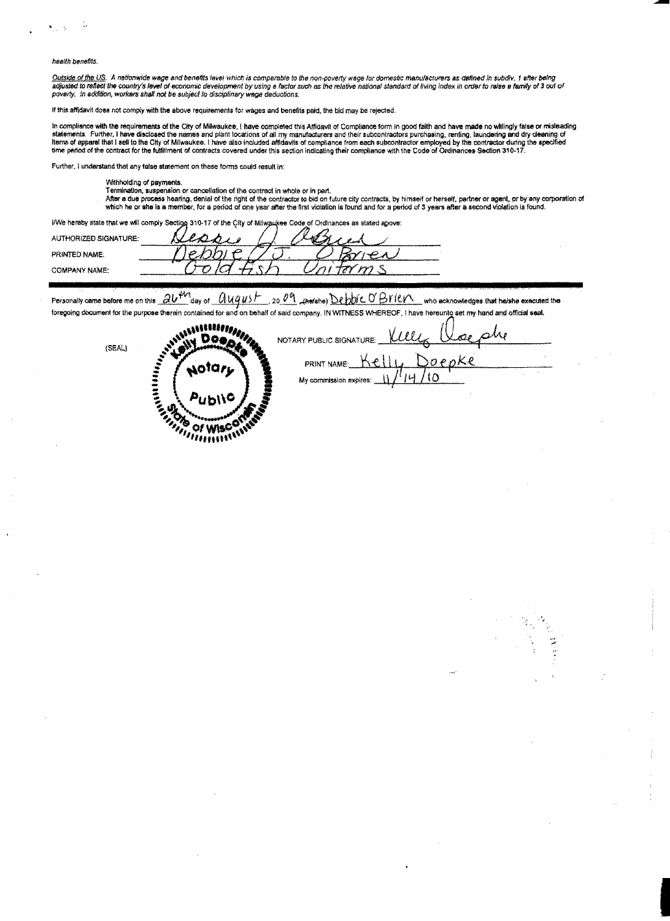## health benefits.

Outside of the US. A nationwide wage and benefits lavel which is comparable to the non-poverty wage for domestic manufacturers as defined in subdiv, 1 after being<br>adjusted to reflect the country's level of economic develop poverty. In addition, workers shall not be subject to disciplinary wege deductions.

If this affidavit does not comply with the above requirements for wages and benefits paid, the bid may be rejected.

In compliance with the requirements of the City of Milwaukee, I have completed this Affidavit of Compliance form in good faith and have made no willingly false or misleading<br>statements. Further, I have disclosed the names

Further, I understand that any false statement on these forms could result in:

- Withholding of payments.
- Termination, suspension or cancellation of the contract in whole or in part.
- Family and the process heating. denial of the initial of the contractor to bid on future city contracts, by himself or herself, partner or agent, or by any corporation of After a second violation is found.<br>Which he or she

I/We hereby state that we will comply Section 310-17 of the Çity of Milwaukee Code of Ordinances as stated above:

| <b>AUTHORIZED SIGNATURE:</b> |     |  |
|------------------------------|-----|--|
| PRINTED NAME:                | 274 |  |
| <b>COMPANY NAME:</b>         |     |  |

Personally came before me on this  $\frac{\partial U^{\mu\nu}}{\partial a}$  ay of  $\frac{\partial uqusL}{\partial a}$  20 09 Anefshe) Depois U Brien who acknowledges that he she executed the foregoing document for the purpose therein contained for and on behalf of said company. IN WITNESS WHEREOF, I have hereunto set my hand and official seal.

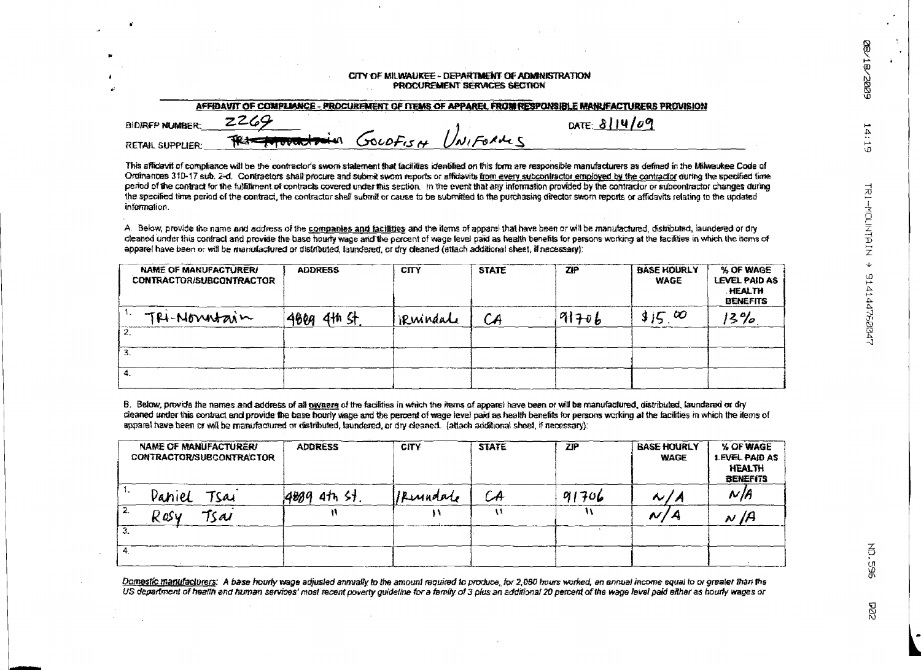| CITY OF MILWAUKEE - DEPARTMENT OF ADMINISTRATION<br>PROCUREMENT SERVICES SECTION                   |
|----------------------------------------------------------------------------------------------------|
| AFFIDAVIT OF COMPLIANCE - PROCURFMENT OF TIEMS OF APPAREL FROM RESPONSIBLE MANUFACTURERS PROVISION |
| 2269<br>DATE: $\delta$   14/09<br><b>BIDIREP NUMBER:</b>                                           |
| <del>Introduction</del> GoulfisH UNIFORMS<br><b>RETAIL SUPPLIER:</b>                               |
|                                                                                                    |

This affidavit of compliance will be the contractor's sworn statement that facilities identified on this form are responsible manufacturers as defined in the Milwaukee Code of Ordinances 310-17 sub. 2-d. Contractors shall procure and submit swom reports or affidavits from every subcontractor employed by the contractor during the specified time period of the contract for the fulfillment of contracts covered under this section. In the event that any information provided by the contractor or subcontractor changes during the specified time period of the contract, the contractor shell submit or cause to be submitted to the purchasing director sworn reports or affidavits relating to the updated information.

A. Below, provide the name and address of the companies and facilities and the items of apparel that have been or will be manufactured, distributed, laundered or dry cleaned under this contract and provide the base hourly wage and the percent of wage level paid as health benefits for persons working at the facilities in which the items of apparel have been or will be manufactured or distributed, laundered, or dry cleaned (attach additional sheet, if necessary):

| NAME OF MANUFACTURERI<br>CONTRACTOR/SUBCONTRACTOR | <b>ADDRESS</b> | <b>CITY</b> | <b>STATE</b> | <b>ZIP</b> | <b>BASE HOURLY</b><br><b>WAGE</b> | <b>% OF WAGE</b><br>LEVEL PAID AS<br>HEALTH.<br><b>BENEFITS</b> |
|---------------------------------------------------|----------------|-------------|--------------|------------|-----------------------------------|-----------------------------------------------------------------|
| TRI-Novertrin                                     | 4th 外<br>460g  | Rinindale   | CA           | 91706      | 150                               | 3%                                                              |
| 2.                                                |                |             |              |            |                                   |                                                                 |
| З.                                                |                |             |              |            |                                   |                                                                 |
|                                                   |                |             |              |            |                                   |                                                                 |

B. Below, provide the names and address of all pwages of the facilities in which the items of apparel have been or will be manufactured, distributed, laundared or dry cleaned under this contract and provide the base hourly vage and the percent of wage level paid as health benefits for persons working at the facilities in which the items of apparel have been or will be manufactured or distributed, laundered, or dry cleaned. (attach additional sheet, if necessary):

|     | <b>NAME OF MANUFACTURER!</b><br><b>CONTRACTOR/SUBCONTRACTOR</b> | <b>ADDRESS</b>     | <b>CITY</b> | <b>STATE</b> | ZIP   | <b>BASE HOURLY</b><br><b>WAGE</b> | <b>% OF WAGE</b><br><b>LEVEL PAID AS</b><br><b>HEALTH</b><br><b>BENEFITS</b> |
|-----|-----------------------------------------------------------------|--------------------|-------------|--------------|-------|-----------------------------------|------------------------------------------------------------------------------|
|     | Paniel<br>Tsai                                                  | $4th$ $5+$<br>4889 | IRMINdate   | CA           | 91706 | ヘィノ                               | N/A                                                                          |
| -2. | Rosy<br>Tsai                                                    |                    |             |              |       | N                                 | /A<br>N                                                                      |
| -5. |                                                                 |                    |             |              |       |                                   |                                                                              |
|     |                                                                 |                    |             |              |       |                                   |                                                                              |

Domestic manufacturers: A base hourly wage adjusted annually to the amount required to produce, for 2,060 hours worked, an annual income equal to or greater than the US department of health and human services' most recent poverty quideline for a family of 3 plus an additional 20 percent of the wage level paid either as hourly wages or

 $\sim$ 

6002/81/90

 $14:19$ 

200